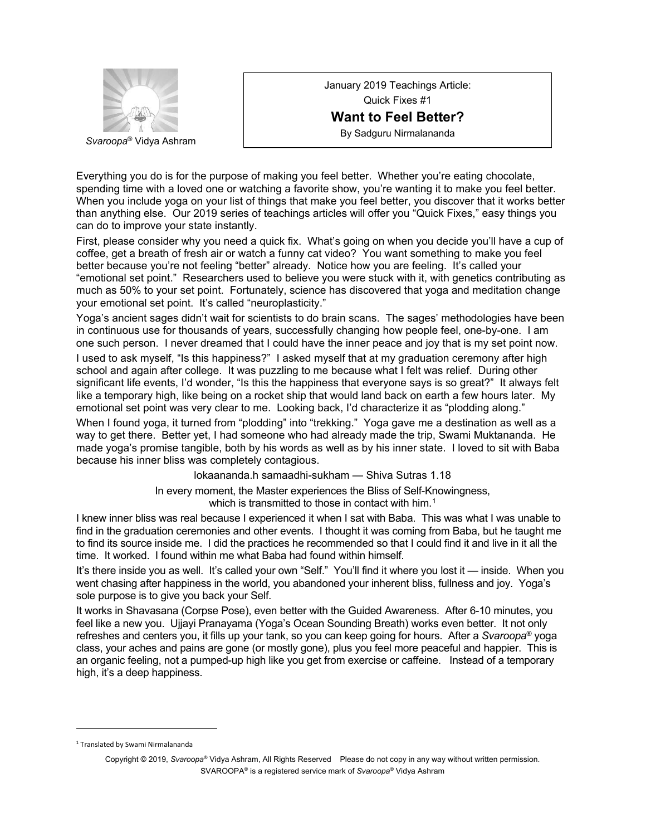

January 2019 Teachings Article: Quick Fixes #1 **Want to Feel Better?** By Sadguru Nirmalananda

Everything you do is for the purpose of making you feel better. Whether you're eating chocolate, spending time with a loved one or watching a favorite show, you're wanting it to make you feel better. When you include yoga on your list of things that make you feel better, you discover that it works better than anything else. Our 2019 series of teachings articles will offer you "Quick Fixes," easy things you can do to improve your state instantly.

First, please consider why you need a quick fix. What's going on when you decide you'll have a cup of coffee, get a breath of fresh air or watch a funny cat video? You want something to make you feel better because you're not feeling "better" already. Notice how you are feeling. It's called your "emotional set point." Researchers used to believe you were stuck with it, with genetics contributing as much as 50% to your set point. Fortunately, science has discovered that yoga and meditation change your emotional set point. It's called "neuroplasticity."

Yoga's ancient sages didn't wait for scientists to do brain scans. The sages' methodologies have been in continuous use for thousands of years, successfully changing how people feel, one-by-one. I am one such person. I never dreamed that I could have the inner peace and joy that is my set point now.

I used to ask myself, "Is this happiness?" I asked myself that at my graduation ceremony after high school and again after college. It was puzzling to me because what I felt was relief. During other significant life events, I'd wonder, "Is this the happiness that everyone says is so great?" It always felt like a temporary high, like being on a rocket ship that would land back on earth a few hours later. My emotional set point was very clear to me. Looking back, I'd characterize it as "plodding along."

When I found yoga, it turned from "plodding" into "trekking." Yoga gave me a destination as well as a way to get there. Better yet, I had someone who had already made the trip, Swami Muktananda. He made yoga's promise tangible, both by his words as well as by his inner state. I loved to sit with Baba because his inner bliss was completely contagious.

lokaananda.h samaadhi-sukham — Shiva Sutras 1.18

In every moment, the Master experiences the Bliss of Self-Knowingness, which is transmitted to those in contact with him.<sup>1</sup>

I knew inner bliss was real because I experienced it when I sat with Baba. This was what I was unable to find in the graduation ceremonies and other events. I thought it was coming from Baba, but he taught me to find its source inside me. I did the practices he recommended so that I could find it and live in it all the time. It worked. I found within me what Baba had found within himself.

It's there inside you as well. It's called your own "Self." You'll find it where you lost it — inside. When you went chasing after happiness in the world, you abandoned your inherent bliss, fullness and joy. Yoga's sole purpose is to give you back your Self.

It works in Shavasana (Corpse Pose), even better with the Guided Awareness. After 6-10 minutes, you feel like a new you. Ujjayi Pranayama (Yoga's Ocean Sounding Breath) works even better. It not only refreshes and centers you, it fills up your tank, so you can keep going for hours. After a *Svaroopa*® yoga class, your aches and pains are gone (or mostly gone), plus you feel more peaceful and happier. This is an organic feeling, not a pumped-up high like you get from exercise or caffeine. Instead of a temporary high, it's a deep happiness.

1

<sup>1</sup> Translated by Swami Nirmalananda

Copyright © 2019, *Svaroopa*® Vidya Ashram, All Rights Reserved Please do not copy in any way without written permission. SVAROOPA® is a registered service mark of *Svaroopa*® Vidya Ashram